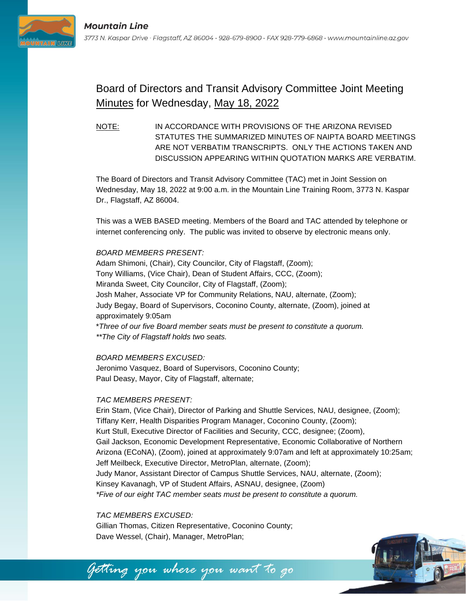

# Board of Directors and Transit Advisory Committee Joint Meeting Minutes for Wednesday, May 18, 2022

NOTE: IN ACCORDANCE WITH PROVISIONS OF THE ARIZONA REVISED STATUTES THE SUMMARIZED MINUTES OF NAIPTA BOARD MEETINGS ARE NOT VERBATIM TRANSCRIPTS. ONLY THE ACTIONS TAKEN AND DISCUSSION APPEARING WITHIN QUOTATION MARKS ARE VERBATIM.

The Board of Directors and Transit Advisory Committee (TAC) met in Joint Session on Wednesday, May 18, 2022 at 9:00 a.m. in the Mountain Line Training Room, 3773 N. Kaspar Dr., Flagstaff, AZ 86004.

This was a WEB BASED meeting. Members of the Board and TAC attended by telephone or internet conferencing only. The public was invited to observe by electronic means only.

#### *BOARD MEMBERS PRESENT:*

Adam Shimoni, (Chair), City Councilor, City of Flagstaff, (Zoom); Tony Williams, (Vice Chair), Dean of Student Affairs, CCC, (Zoom); Miranda Sweet, City Councilor, City of Flagstaff, (Zoom); Josh Maher, Associate VP for Community Relations, NAU, alternate, (Zoom); Judy Begay, Board of Supervisors, Coconino County, alternate, (Zoom), joined at approximately 9:05am \**Three of our five Board member seats must be present to constitute a quorum.*

*\*\*The City of Flagstaff holds two seats.*

## *BOARD MEMBERS EXCUSED:*

Jeronimo Vasquez, Board of Supervisors, Coconino County; Paul Deasy, Mayor, City of Flagstaff, alternate;

## *TAC MEMBERS PRESENT:*

Erin Stam, (Vice Chair), Director of Parking and Shuttle Services, NAU, designee, (Zoom); Tiffany Kerr, Health Disparities Program Manager, Coconino County, (Zoom); Kurt Stull, Executive Director of Facilities and Security, CCC, designee; (Zoom), Gail Jackson, Economic Development Representative, Economic Collaborative of Northern Arizona (ECoNA), (Zoom), joined at approximately 9:07am and left at approximately 10:25am; Jeff Meilbeck, Executive Director, MetroPlan, alternate, (Zoom); Judy Manor, Assistant Director of Campus Shuttle Services, NAU, alternate, (Zoom); Kinsey Kavanagh, VP of Student Affairs, ASNAU, designee, (Zoom) *\*Five of our eight TAC member seats must be present to constitute a quorum.*

#### *TAC MEMBERS EXCUSED:*

Gillian Thomas, Citizen Representative, Coconino County; Dave Wessel, (Chair), Manager, MetroPlan;



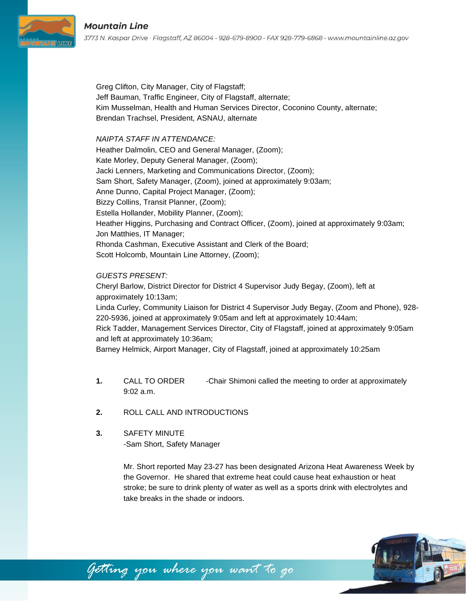Greg Clifton, City Manager, City of Flagstaff; Jeff Bauman, Traffic Engineer, City of Flagstaff, alternate; Kim Musselman, Health and Human Services Director, Coconino County, alternate; Brendan Trachsel, President, ASNAU, alternate

#### *NAIPTA STAFF IN ATTENDANCE:*

Heather Dalmolin, CEO and General Manager, (Zoom); Kate Morley, Deputy General Manager, (Zoom); Jacki Lenners, Marketing and Communications Director, (Zoom); Sam Short, Safety Manager, (Zoom), joined at approximately 9:03am; Anne Dunno, Capital Project Manager, (Zoom); Bizzy Collins, Transit Planner, (Zoom); Estella Hollander, Mobility Planner, (Zoom); Heather Higgins, Purchasing and Contract Officer, (Zoom), joined at approximately 9:03am; Jon Matthies, IT Manager; Rhonda Cashman, Executive Assistant and Clerk of the Board; Scott Holcomb, Mountain Line Attorney, (Zoom);

## *GUESTS PRESENT:*

Cheryl Barlow, District Director for District 4 Supervisor Judy Begay, (Zoom), left at approximately 10:13am;

Linda Curley, Community Liaison for District 4 Supervisor Judy Begay, (Zoom and Phone), 928- 220-5936, joined at approximately 9:05am and left at approximately 10:44am;

Rick Tadder, Management Services Director, City of Flagstaff, joined at approximately 9:05am and left at approximately 10:36am;

Barney Helmick, Airport Manager, City of Flagstaff, joined at approximately 10:25am

- **1.** CALL TO ORDER -Chair Shimoni called the meeting to order at approximately 9:02 a.m.
- **2.** ROLL CALL AND INTRODUCTIONS
- **3.** SAFETY MINUTE -Sam Short, Safety Manager

Mr. Short reported May 23-27 has been designated Arizona Heat Awareness Week by the Governor. He shared that extreme heat could cause heat exhaustion or heat stroke; be sure to drink plenty of water as well as a sports drink with electrolytes and take breaks in the shade or indoors.

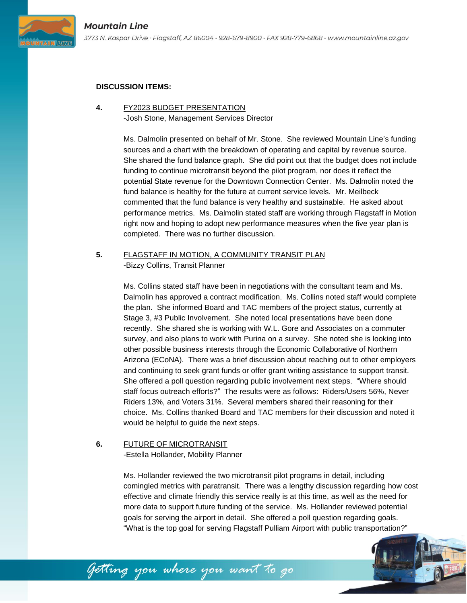

#### **DISCUSSION ITEMS:**

#### **4.** FY2023 BUDGET PRESENTATION -Josh Stone, Management Services Director

Ms. Dalmolin presented on behalf of Mr. Stone. She reviewed Mountain Line's funding sources and a chart with the breakdown of operating and capital by revenue source. She shared the fund balance graph. She did point out that the budget does not include funding to continue microtransit beyond the pilot program, nor does it reflect the potential State revenue for the Downtown Connection Center. Ms. Dalmolin noted the fund balance is healthy for the future at current service levels. Mr. Meilbeck commented that the fund balance is very healthy and sustainable. He asked about performance metrics. Ms. Dalmolin stated staff are working through Flagstaff in Motion right now and hoping to adopt new performance measures when the five year plan is completed. There was no further discussion.

# **5.** FLAGSTAFF IN MOTION, A COMMUNITY TRANSIT PLAN -Bizzy Collins, Transit Planner

Ms. Collins stated staff have been in negotiations with the consultant team and Ms. Dalmolin has approved a contract modification. Ms. Collins noted staff would complete the plan. She informed Board and TAC members of the project status, currently at Stage 3, #3 Public Involvement. She noted local presentations have been done recently. She shared she is working with W.L. Gore and Associates on a commuter survey, and also plans to work with Purina on a survey. She noted she is looking into other possible business interests through the Economic Collaborative of Northern Arizona (ECoNA). There was a brief discussion about reaching out to other employers and continuing to seek grant funds or offer grant writing assistance to support transit. She offered a poll question regarding public involvement next steps. "Where should staff focus outreach efforts?" The results were as follows: Riders/Users 56%, Never Riders 13%, and Voters 31%. Several members shared their reasoning for their choice. Ms. Collins thanked Board and TAC members for their discussion and noted it would be helpful to guide the next steps.

# **6.** FUTURE OF MICROTRANSIT

-Estella Hollander, Mobility Planner

Ms. Hollander reviewed the two microtransit pilot programs in detail, including comingled metrics with paratransit. There was a lengthy discussion regarding how cost effective and climate friendly this service really is at this time, as well as the need for more data to support future funding of the service. Ms. Hollander reviewed potential goals for serving the airport in detail. She offered a poll question regarding goals. "What is the top goal for serving Flagstaff Pulliam Airport with public transportation?"



Getting you where you want to go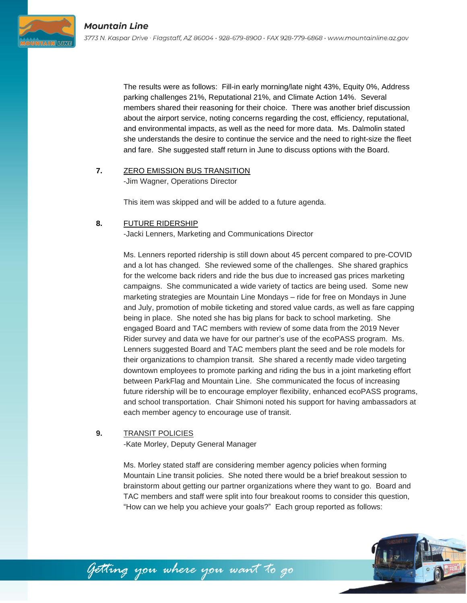

The results were as follows: Fill-in early morning/late night 43%, Equity 0%, Address parking challenges 21%, Reputational 21%, and Climate Action 14%. Several members shared their reasoning for their choice. There was another brief discussion about the airport service, noting concerns regarding the cost, efficiency, reputational, and environmental impacts, as well as the need for more data. Ms. Dalmolin stated she understands the desire to continue the service and the need to right-size the fleet and fare. She suggested staff return in June to discuss options with the Board.

#### **7.** ZERO EMISSION BUS TRANSITION -Jim Wagner, Operations Director

This item was skipped and will be added to a future agenda.

## **8.** FUTURE RIDERSHIP

-Jacki Lenners, Marketing and Communications Director

Ms. Lenners reported ridership is still down about 45 percent compared to pre-COVID and a lot has changed. She reviewed some of the challenges. She shared graphics for the welcome back riders and ride the bus due to increased gas prices marketing campaigns. She communicated a wide variety of tactics are being used. Some new marketing strategies are Mountain Line Mondays – ride for free on Mondays in June and July, promotion of mobile ticketing and stored value cards, as well as fare capping being in place. She noted she has big plans for back to school marketing. She engaged Board and TAC members with review of some data from the 2019 Never Rider survey and data we have for our partner's use of the ecoPASS program. Ms. Lenners suggested Board and TAC members plant the seed and be role models for their organizations to champion transit. She shared a recently made video targeting downtown employees to promote parking and riding the bus in a joint marketing effort between ParkFlag and Mountain Line. She communicated the focus of increasing future ridership will be to encourage employer flexibility, enhanced ecoPASS programs, and school transportation. Chair Shimoni noted his support for having ambassadors at each member agency to encourage use of transit.

## **9.** TRANSIT POLICIES

-Kate Morley, Deputy General Manager

Ms. Morley stated staff are considering member agency policies when forming Mountain Line transit policies. She noted there would be a brief breakout session to brainstorm about getting our partner organizations where they want to go. Board and TAC members and staff were split into four breakout rooms to consider this question, "How can we help you achieve your goals?" Each group reported as follows:

Getting you where you want to go

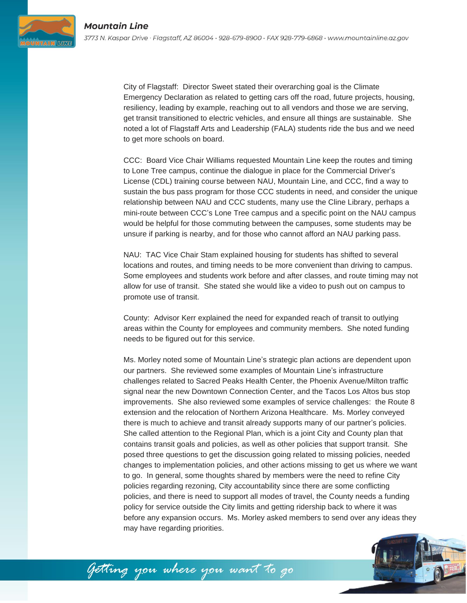**AIN BUX** 

City of Flagstaff: Director Sweet stated their overarching goal is the Climate Emergency Declaration as related to getting cars off the road, future projects, housing, resiliency, leading by example, reaching out to all vendors and those we are serving, get transit transitioned to electric vehicles, and ensure all things are sustainable. She noted a lot of Flagstaff Arts and Leadership (FALA) students ride the bus and we need to get more schools on board.

CCC: Board Vice Chair Williams requested Mountain Line keep the routes and timing to Lone Tree campus, continue the dialogue in place for the Commercial Driver's License (CDL) training course between NAU, Mountain Line, and CCC, find a way to sustain the bus pass program for those CCC students in need, and consider the unique relationship between NAU and CCC students, many use the Cline Library, perhaps a mini-route between CCC's Lone Tree campus and a specific point on the NAU campus would be helpful for those commuting between the campuses, some students may be unsure if parking is nearby, and for those who cannot afford an NAU parking pass.

NAU: TAC Vice Chair Stam explained housing for students has shifted to several locations and routes, and timing needs to be more convenient than driving to campus. Some employees and students work before and after classes, and route timing may not allow for use of transit. She stated she would like a video to push out on campus to promote use of transit.

County: Advisor Kerr explained the need for expanded reach of transit to outlying areas within the County for employees and community members. She noted funding needs to be figured out for this service.

Ms. Morley noted some of Mountain Line's strategic plan actions are dependent upon our partners. She reviewed some examples of Mountain Line's infrastructure challenges related to Sacred Peaks Health Center, the Phoenix Avenue/Milton traffic signal near the new Downtown Connection Center, and the Tacos Los Altos bus stop improvements. She also reviewed some examples of service challenges: the Route 8 extension and the relocation of Northern Arizona Healthcare. Ms. Morley conveyed there is much to achieve and transit already supports many of our partner's policies. She called attention to the Regional Plan, which is a joint City and County plan that contains transit goals and policies, as well as other policies that support transit. She posed three questions to get the discussion going related to missing policies, needed changes to implementation policies, and other actions missing to get us where we want to go. In general, some thoughts shared by members were the need to refine City policies regarding rezoning, City accountability since there are some conflicting policies, and there is need to support all modes of travel, the County needs a funding policy for service outside the City limits and getting ridership back to where it was before any expansion occurs. Ms. Morley asked members to send over any ideas they may have regarding priorities.



Getting you where you want to go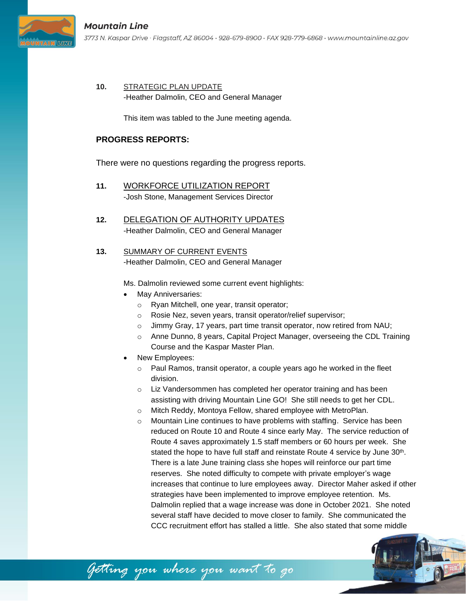**10.** STRATEGIC PLAN UPDATE -Heather Dalmolin, CEO and General Manager

This item was tabled to the June meeting agenda.

# **PROGRESS REPORTS:**

There were no questions regarding the progress reports.

- **11.** WORKFORCE UTILIZATION REPORT -Josh Stone, Management Services Director
- **12.** DELEGATION OF AUTHORITY UPDATES -Heather Dalmolin, CEO and General Manager
- **13.** SUMMARY OF CURRENT EVENTS -Heather Dalmolin, CEO and General Manager

getting you where you want to go

Ms. Dalmolin reviewed some current event highlights:

- May Anniversaries:
	- o Ryan Mitchell, one year, transit operator;
	- o Rosie Nez, seven years, transit operator/relief supervisor;
	- o Jimmy Gray, 17 years, part time transit operator, now retired from NAU;
	- o Anne Dunno, 8 years, Capital Project Manager, overseeing the CDL Training Course and the Kaspar Master Plan.
- New Employees:
	- o Paul Ramos, transit operator, a couple years ago he worked in the fleet division.
	- o Liz Vandersommen has completed her operator training and has been assisting with driving Mountain Line GO! She still needs to get her CDL.
	- o Mitch Reddy, Montoya Fellow, shared employee with MetroPlan.
	- o Mountain Line continues to have problems with staffing. Service has been reduced on Route 10 and Route 4 since early May. The service reduction of Route 4 saves approximately 1.5 staff members or 60 hours per week. She stated the hope to have full staff and reinstate Route 4 service by June  $30<sup>th</sup>$ . There is a late June training class she hopes will reinforce our part time reserves. She noted difficulty to compete with private employer's wage increases that continue to lure employees away. Director Maher asked if other strategies have been implemented to improve employee retention. Ms. Dalmolin replied that a wage increase was done in October 2021. She noted several staff have decided to move closer to family. She communicated the CCC recruitment effort has stalled a little. She also stated that some middle

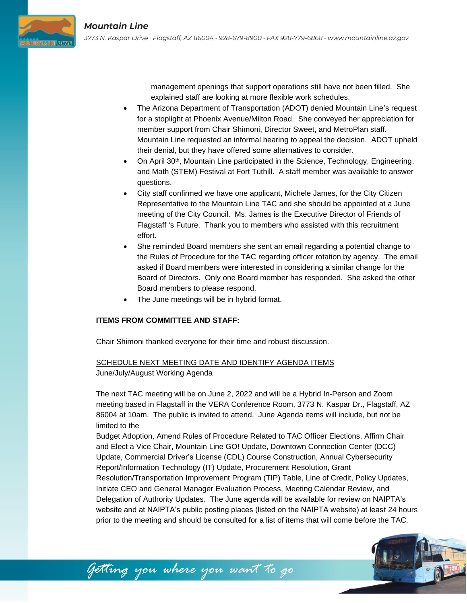

management openings that support operations still have not been filled. She explained staff are looking at more flexible work schedules.

- The Arizona Department of Transportation (ADOT) denied Mountain Line's request for a stoplight at Phoenix Avenue/Milton Road. She conveyed her appreciation for member support from Chair Shimoni, Director Sweet, and MetroPlan staff. Mountain Line requested an informal hearing to appeal the decision. ADOT upheld their denial, but they have offered some alternatives to consider.
- On April 30<sup>th</sup>, Mountain Line participated in the Science, Technology, Engineering, and Math (STEM) Festival at Fort Tuthill. A staff member was available to answer questions.
- City staff confirmed we have one applicant, Michele James, for the City Citizen Representative to the Mountain Line TAC and she should be appointed at a June meeting of the City Council. Ms. James is the Executive Director of Friends of Flagstaff 's Future. Thank you to members who assisted with this recruitment effort.
- She reminded Board members she sent an email regarding a potential change to the Rules of Procedure for the TAC regarding officer rotation by agency. The email asked if Board members were interested in considering a similar change for the Board of Directors. Only one Board member has responded. She asked the other Board members to please respond.
- The June meetings will be in hybrid format.

# **ITEMS FROM COMMITTEE AND STAFF:**

Chair Shimoni thanked everyone for their time and robust discussion.

# SCHEDULE NEXT MEETING DATE AND IDENTIFY AGENDA ITEMS

Getting you where you want to go

## June/July/August Working Agenda

The next TAC meeting will be on June 2, 2022 and will be a Hybrid In-Person and Zoom meeting based in Flagstaff in the VERA Conference Room, 3773 N. Kaspar Dr., Flagstaff, AZ 86004 at 10am. The public is invited to attend. June Agenda items will include, but not be limited to the

Budget Adoption, Amend Rules of Procedure Related to TAC Officer Elections, Affirm Chair and Elect a Vice Chair, Mountain Line GO! Update, Downtown Connection Center (DCC) Update, Commercial Driver's License (CDL) Course Construction, Annual Cybersecurity Report/Information Technology (IT) Update, Procurement Resolution, Grant Resolution/Transportation Improvement Program (TIP) Table, Line of Credit, Policy Updates, Initiate CEO and General Manager Evaluation Process, Meeting Calendar Review, and Delegation of Authority Updates. The June agenda will be available for review on NAIPTA's website and at NAIPTA's public posting places (listed on the NAIPTA website) at least 24 hours prior to the meeting and should be consulted for a list of items that will come before the TAC.